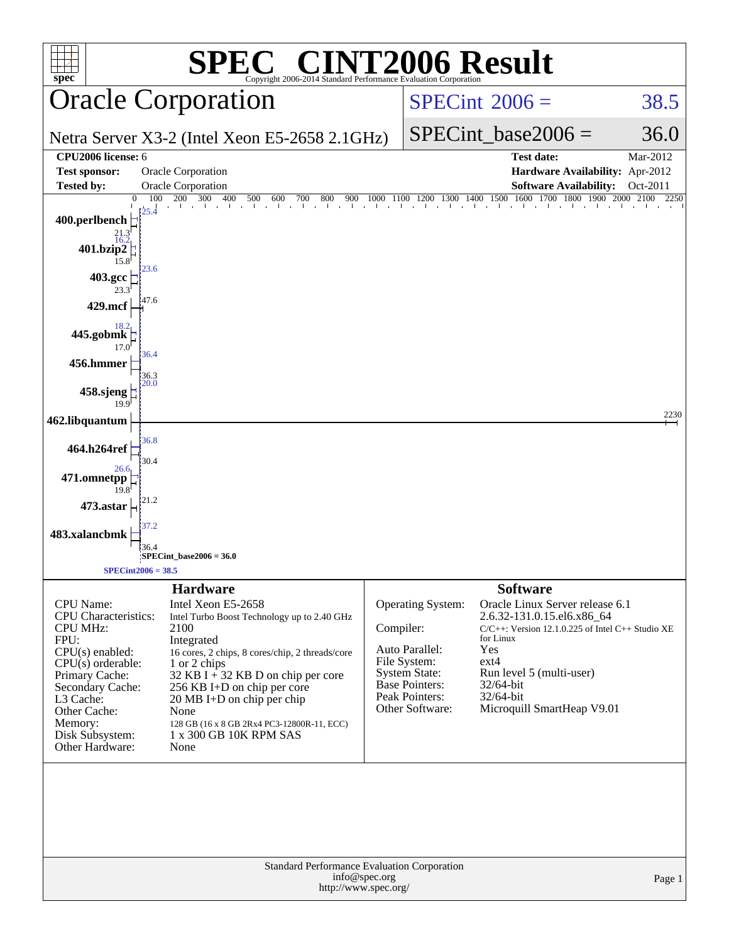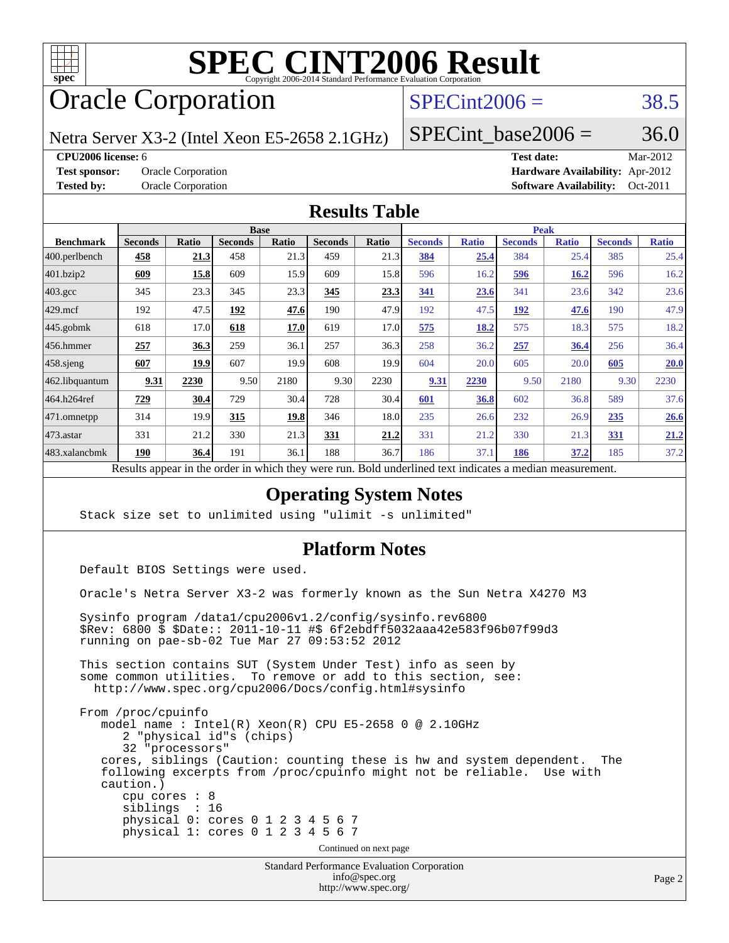

# **[SPEC CINT2006 Result](http://www.spec.org/auto/cpu2006/Docs/result-fields.html#SPECCINT2006Result)**

# Oracle Corporation

### $SPECint2006 = 38.5$  $SPECint2006 = 38.5$

Netra Server X3-2 (Intel Xeon E5-2658 2.1GHz)

SPECint base2006 =  $36.0$ 

**[CPU2006 license:](http://www.spec.org/auto/cpu2006/Docs/result-fields.html#CPU2006license)** 6 **[Test date:](http://www.spec.org/auto/cpu2006/Docs/result-fields.html#Testdate)** Mar-2012

**[Test sponsor:](http://www.spec.org/auto/cpu2006/Docs/result-fields.html#Testsponsor)** Oracle Corporation **[Hardware Availability:](http://www.spec.org/auto/cpu2006/Docs/result-fields.html#HardwareAvailability)** Apr-2012 **[Tested by:](http://www.spec.org/auto/cpu2006/Docs/result-fields.html#Testedby)** Oracle Corporation **[Software Availability:](http://www.spec.org/auto/cpu2006/Docs/result-fields.html#SoftwareAvailability)** Oct-2011

#### **[Results Table](http://www.spec.org/auto/cpu2006/Docs/result-fields.html#ResultsTable)**

|                                                                                                                 | <b>Base</b>    |              |                |              |                | <b>Peak</b> |                |              |                |              |                |              |
|-----------------------------------------------------------------------------------------------------------------|----------------|--------------|----------------|--------------|----------------|-------------|----------------|--------------|----------------|--------------|----------------|--------------|
| <b>Benchmark</b>                                                                                                | <b>Seconds</b> | <b>Ratio</b> | <b>Seconds</b> | <b>Ratio</b> | <b>Seconds</b> | Ratio       | <b>Seconds</b> | <b>Ratio</b> | <b>Seconds</b> | <b>Ratio</b> | <b>Seconds</b> | <b>Ratio</b> |
| $ 400$ .perlbench                                                                                               | 458            | 21.3         | 458            | 21.3         | 459            | 21.3        | 384            | 25.4         | 384            | 25.4         | 385            | 25.4         |
| 401.bzip2                                                                                                       | 609            | 15.8         | 609            | 15.9         | 609            | 15.8        | 596            | 16.2         | 596            | 16.2         | 596            | 16.2         |
| $403.\mathrm{gcc}$                                                                                              | 345            | 23.3         | 345            | 23.3         | 345            | 23.3        | 341            | 23.6         | 341            | 23.6         | 342            | 23.6         |
| $429$ .mcf                                                                                                      | 192            | 47.5         | 192            | 47.6         | 190            | 47.9        | 192            | 47.5         | 192            | 47.6         | 190            | 47.9         |
| $445$ .gobmk                                                                                                    | 618            | 17.0         | 618            | 17.0         | 619            | 17.0        | 575            | 18.2         | 575            | 18.3         | 575            | 18.2         |
| 456.hmmer                                                                                                       | 257            | 36.3         | 259            | 36.1         | 257            | 36.3        | 258            | 36.2         | 257            | 36.4         | 256            | 36.4         |
| $458$ .sjeng                                                                                                    | 607            | 19.9         | 607            | 19.9         | 608            | 19.9        | 604            | 20.0         | 605            | 20.0         | 605            | 20.0         |
| 462.libquantum                                                                                                  | 9.31           | 2230         | 9.50           | 2180         | 9.30           | 2230        | 9.31           | 2230         | 9.50           | 2180         | 9.30           | 2230         |
| 464.h264ref                                                                                                     | 729            | 30.4         | 729            | 30.4         | 728            | 30.4        | 601            | 36.8         | 602            | 36.8         | 589            | 37.6         |
| 471.omnetpp                                                                                                     | 314            | 19.9         | 315            | 19.8         | 346            | 18.0        | 235            | 26.6         | 232            | 26.9         | 235            | 26.6         |
| $ 473$ . astar                                                                                                  | 331            | 21.2         | 330            | 21.3         | 331            | 21.2        | 331            | 21.2         | 330            | 21.3         | 331            | 21.2         |
| 483.xalancbmk                                                                                                   | 190            | 36.4         | 191            | 36.1         | 188            | 36.7        | 186            | 37.1         | 186            | 37.2         | 185            | 37.2         |
| Describe announced to the conduction of the theory of the most<br>Deld and called to almost indicates a madison |                |              |                |              |                |             |                |              |                |              |                |              |

Results appear in the [order in which they were run.](http://www.spec.org/auto/cpu2006/Docs/result-fields.html#RunOrder) Bold underlined text [indicates a median measurement.](http://www.spec.org/auto/cpu2006/Docs/result-fields.html#Median)

### **[Operating System Notes](http://www.spec.org/auto/cpu2006/Docs/result-fields.html#OperatingSystemNotes)**

Stack size set to unlimited using "ulimit -s unlimited"

### **[Platform Notes](http://www.spec.org/auto/cpu2006/Docs/result-fields.html#PlatformNotes)**

Default BIOS Settings were used.

Oracle's Netra Server X3-2 was formerly known as the Sun Netra X4270 M3

 Sysinfo program /data1/cpu2006v1.2/config/sysinfo.rev6800 \$Rev: 6800 \$ \$Date:: 2011-10-11 #\$ 6f2ebdff5032aaa42e583f96b07f99d3 running on pae-sb-02 Tue Mar 27 09:53:52 2012

 This section contains SUT (System Under Test) info as seen by some common utilities. To remove or add to this section, see: <http://www.spec.org/cpu2006/Docs/config.html#sysinfo>

 From /proc/cpuinfo model name : Intel(R) Xeon(R) CPU E5-2658 0 @ 2.10GHz 2 "physical id"s (chips) 32 "processors" cores, siblings (Caution: counting these is hw and system dependent. The following excerpts from /proc/cpuinfo might not be reliable. Use with caution.) cpu cores : 8 siblings : 16 physical 0: cores 0 1 2 3 4 5 6 7 physical 1: cores 0 1 2 3 4 5 6 7 Continued on next page

> Standard Performance Evaluation Corporation [info@spec.org](mailto:info@spec.org) <http://www.spec.org/>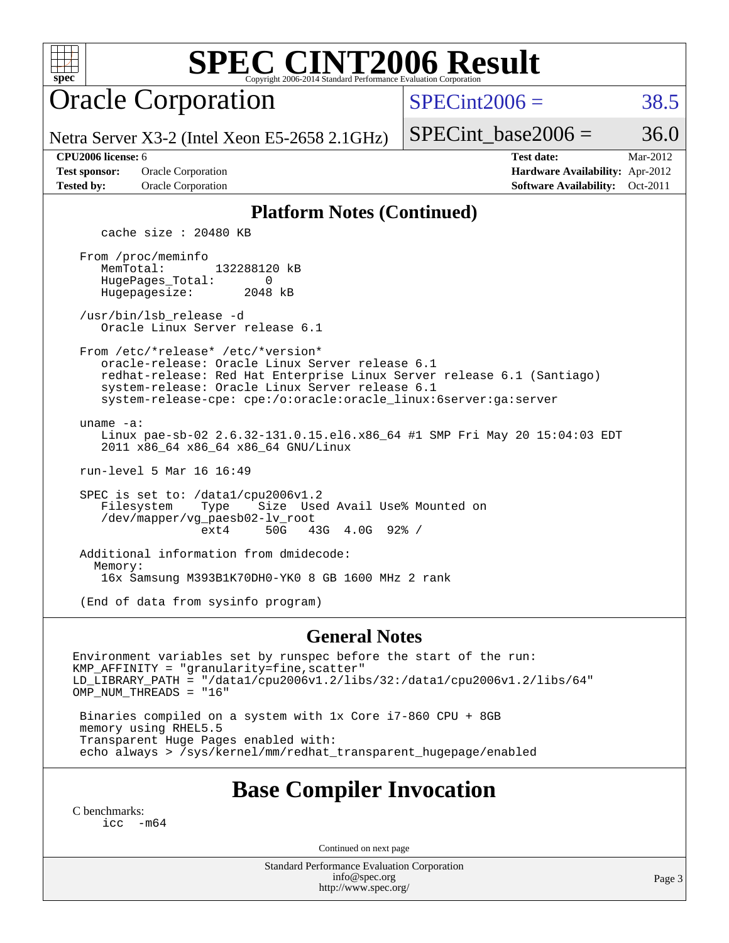# **[SPEC CINT2006 Result](http://www.spec.org/auto/cpu2006/Docs/result-fields.html#SPECCINT2006Result)**

Oracle Corporation

 $SPECint2006 = 38.5$  $SPECint2006 = 38.5$ 

Netra Server X3-2 (Intel Xeon E5-2658 2.1GHz)

SPECint base2006 =  $36.0$ 

**[Test sponsor:](http://www.spec.org/auto/cpu2006/Docs/result-fields.html#Testsponsor)** Oracle Corporation **[Hardware Availability:](http://www.spec.org/auto/cpu2006/Docs/result-fields.html#HardwareAvailability)** Apr-2012 **[Tested by:](http://www.spec.org/auto/cpu2006/Docs/result-fields.html#Testedby)** Oracle Corporation **[Software Availability:](http://www.spec.org/auto/cpu2006/Docs/result-fields.html#SoftwareAvailability)** Oct-2011

**[CPU2006 license:](http://www.spec.org/auto/cpu2006/Docs/result-fields.html#CPU2006license)** 6 **[Test date:](http://www.spec.org/auto/cpu2006/Docs/result-fields.html#Testdate)** Mar-2012

#### **[Platform Notes \(Continued\)](http://www.spec.org/auto/cpu2006/Docs/result-fields.html#PlatformNotes)**

cache size : 20480 KB

 From /proc/meminfo MemTotal: 132288120 kB HugePages\_Total: 0<br>Hugepagesize: 2048 kB Hugepagesize:

 /usr/bin/lsb\_release -d Oracle Linux Server release 6.1

 From /etc/\*release\* /etc/\*version\* oracle-release: Oracle Linux Server release 6.1 redhat-release: Red Hat Enterprise Linux Server release 6.1 (Santiago) system-release: Oracle Linux Server release 6.1 system-release-cpe: cpe:/o:oracle:oracle\_linux:6server:ga:server

 uname -a: Linux pae-sb-02 2.6.32-131.0.15.el6.x86\_64 #1 SMP Fri May 20 15:04:03 EDT 2011 x86\_64 x86\_64 x86\_64 GNU/Linux

run-level 5 Mar 16 16:49

 SPEC is set to: /data1/cpu2006v1.2 Filesystem Type Size Used Avail Use% Mounted on /dev/mapper/vg\_paesb02-lv\_root ext4 50G 43G 4.0G 92% /

 Additional information from dmidecode: Memory: 16x Samsung M393B1K70DH0-YK0 8 GB 1600 MHz 2 rank

(End of data from sysinfo program)

#### **[General Notes](http://www.spec.org/auto/cpu2006/Docs/result-fields.html#GeneralNotes)**

Environment variables set by runspec before the start of the run: KMP\_AFFINITY = "granularity=fine,scatter" LD\_LIBRARY\_PATH = "/data1/cpu2006v1.2/libs/32:/data1/cpu2006v1.2/libs/64" OMP\_NUM\_THREADS = "16"

 Binaries compiled on a system with 1x Core i7-860 CPU + 8GB memory using RHEL5.5 Transparent Huge Pages enabled with: echo always > /sys/kernel/mm/redhat\_transparent\_hugepage/enabled

### **[Base Compiler Invocation](http://www.spec.org/auto/cpu2006/Docs/result-fields.html#BaseCompilerInvocation)**

[C benchmarks](http://www.spec.org/auto/cpu2006/Docs/result-fields.html#Cbenchmarks): [icc -m64](http://www.spec.org/cpu2006/results/res2012q3/cpu2006-20120710-23580.flags.html#user_CCbase_intel_icc_64bit_f346026e86af2a669e726fe758c88044)

Continued on next page

Standard Performance Evaluation Corporation [info@spec.org](mailto:info@spec.org) <http://www.spec.org/>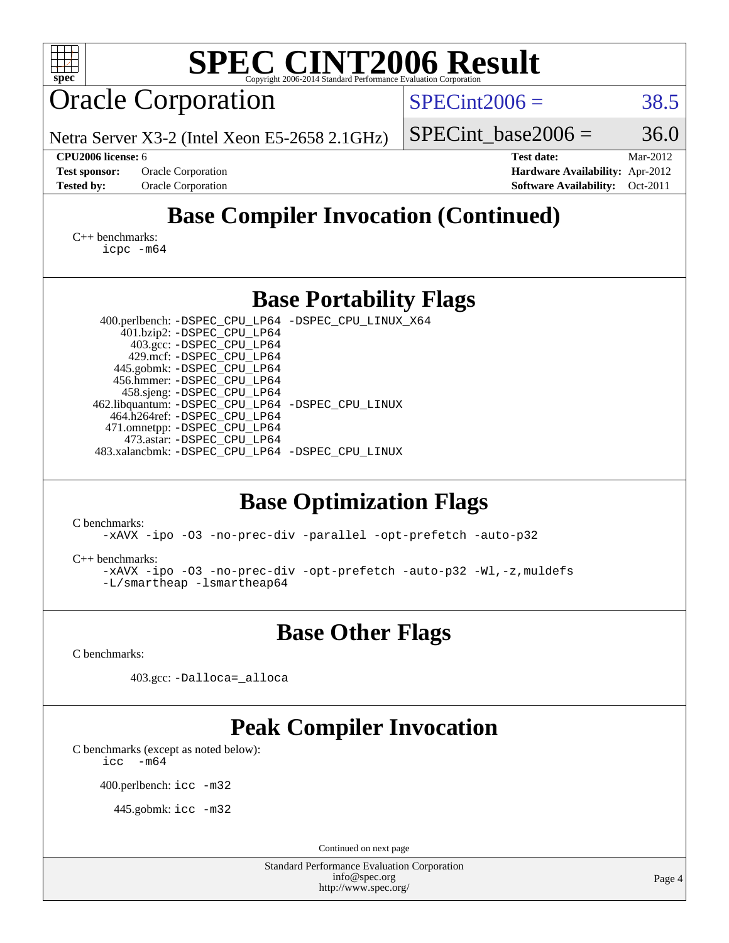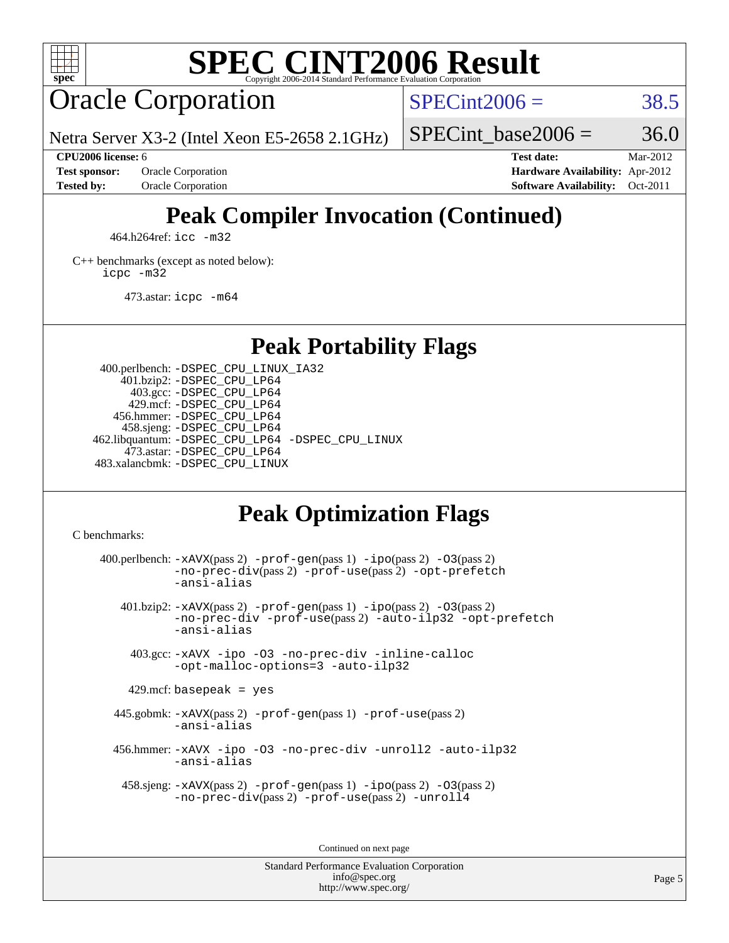

# **[SPEC CINT2006 Result](http://www.spec.org/auto/cpu2006/Docs/result-fields.html#SPECCINT2006Result)**

# Oracle Corporation

 $SPECint2006 = 38.5$  $SPECint2006 = 38.5$ 

Netra Server X3-2 (Intel Xeon E5-2658 2.1GHz)

**[Test sponsor:](http://www.spec.org/auto/cpu2006/Docs/result-fields.html#Testsponsor)** Oracle Corporation **[Hardware Availability:](http://www.spec.org/auto/cpu2006/Docs/result-fields.html#HardwareAvailability)** Apr-2012

SPECint base2006 =  $36.0$ **[CPU2006 license:](http://www.spec.org/auto/cpu2006/Docs/result-fields.html#CPU2006license)** 6 **[Test date:](http://www.spec.org/auto/cpu2006/Docs/result-fields.html#Testdate)** Mar-2012

**[Tested by:](http://www.spec.org/auto/cpu2006/Docs/result-fields.html#Testedby)** Oracle Corporation **[Software Availability:](http://www.spec.org/auto/cpu2006/Docs/result-fields.html#SoftwareAvailability)** Oct-2011

# **[Peak Compiler Invocation \(Continued\)](http://www.spec.org/auto/cpu2006/Docs/result-fields.html#PeakCompilerInvocation)**

464.h264ref: [icc -m32](http://www.spec.org/cpu2006/results/res2012q3/cpu2006-20120710-23580.flags.html#user_peakCCLD464_h264ref_intel_icc_a6a621f8d50482236b970c6ac5f55f93)

[C++ benchmarks \(except as noted below\):](http://www.spec.org/auto/cpu2006/Docs/result-fields.html#CXXbenchmarksexceptasnotedbelow) [icpc -m32](http://www.spec.org/cpu2006/results/res2012q3/cpu2006-20120710-23580.flags.html#user_CXXpeak_intel_icpc_4e5a5ef1a53fd332b3c49e69c3330699)

473.astar: [icpc -m64](http://www.spec.org/cpu2006/results/res2012q3/cpu2006-20120710-23580.flags.html#user_peakCXXLD473_astar_intel_icpc_64bit_fc66a5337ce925472a5c54ad6a0de310)

**[Peak Portability Flags](http://www.spec.org/auto/cpu2006/Docs/result-fields.html#PeakPortabilityFlags)**

 400.perlbench: [-DSPEC\\_CPU\\_LINUX\\_IA32](http://www.spec.org/cpu2006/results/res2012q3/cpu2006-20120710-23580.flags.html#b400.perlbench_peakCPORTABILITY_DSPEC_CPU_LINUX_IA32) 401.bzip2: [-DSPEC\\_CPU\\_LP64](http://www.spec.org/cpu2006/results/res2012q3/cpu2006-20120710-23580.flags.html#suite_peakPORTABILITY401_bzip2_DSPEC_CPU_LP64) 403.gcc: [-DSPEC\\_CPU\\_LP64](http://www.spec.org/cpu2006/results/res2012q3/cpu2006-20120710-23580.flags.html#suite_peakPORTABILITY403_gcc_DSPEC_CPU_LP64) 429.mcf: [-DSPEC\\_CPU\\_LP64](http://www.spec.org/cpu2006/results/res2012q3/cpu2006-20120710-23580.flags.html#suite_peakPORTABILITY429_mcf_DSPEC_CPU_LP64) 456.hmmer: [-DSPEC\\_CPU\\_LP64](http://www.spec.org/cpu2006/results/res2012q3/cpu2006-20120710-23580.flags.html#suite_peakPORTABILITY456_hmmer_DSPEC_CPU_LP64) 458.sjeng: [-DSPEC\\_CPU\\_LP64](http://www.spec.org/cpu2006/results/res2012q3/cpu2006-20120710-23580.flags.html#suite_peakPORTABILITY458_sjeng_DSPEC_CPU_LP64) 462.libquantum: [-DSPEC\\_CPU\\_LP64](http://www.spec.org/cpu2006/results/res2012q3/cpu2006-20120710-23580.flags.html#suite_peakPORTABILITY462_libquantum_DSPEC_CPU_LP64) [-DSPEC\\_CPU\\_LINUX](http://www.spec.org/cpu2006/results/res2012q3/cpu2006-20120710-23580.flags.html#b462.libquantum_peakCPORTABILITY_DSPEC_CPU_LINUX) 473.astar: [-DSPEC\\_CPU\\_LP64](http://www.spec.org/cpu2006/results/res2012q3/cpu2006-20120710-23580.flags.html#suite_peakPORTABILITY473_astar_DSPEC_CPU_LP64) 483.xalancbmk: [-DSPEC\\_CPU\\_LINUX](http://www.spec.org/cpu2006/results/res2012q3/cpu2006-20120710-23580.flags.html#b483.xalancbmk_peakCXXPORTABILITY_DSPEC_CPU_LINUX)

## **[Peak Optimization Flags](http://www.spec.org/auto/cpu2006/Docs/result-fields.html#PeakOptimizationFlags)**

[C benchmarks](http://www.spec.org/auto/cpu2006/Docs/result-fields.html#Cbenchmarks):

400.perlbench:  $-xAUX(pass 2)$  -prof-qen(pass 1) [-ipo](http://www.spec.org/cpu2006/results/res2012q3/cpu2006-20120710-23580.flags.html#user_peakPASS2_CFLAGSPASS2_LDCFLAGS400_perlbench_f-ipo)(pass 2) -03(pass 2) [-no-prec-div](http://www.spec.org/cpu2006/results/res2012q3/cpu2006-20120710-23580.flags.html#user_peakPASS2_CFLAGSPASS2_LDCFLAGS400_perlbench_f-no-prec-div)(pass 2) [-prof-use](http://www.spec.org/cpu2006/results/res2012q3/cpu2006-20120710-23580.flags.html#user_peakPASS2_CFLAGSPASS2_LDCFLAGS400_perlbench_prof_use_bccf7792157ff70d64e32fe3e1250b55)(pass 2) [-opt-prefetch](http://www.spec.org/cpu2006/results/res2012q3/cpu2006-20120710-23580.flags.html#user_peakCOPTIMIZE400_perlbench_f-opt-prefetch) [-ansi-alias](http://www.spec.org/cpu2006/results/res2012q3/cpu2006-20120710-23580.flags.html#user_peakCOPTIMIZE400_perlbench_f-ansi-alias) 401.bzip2: [-xAVX](http://www.spec.org/cpu2006/results/res2012q3/cpu2006-20120710-23580.flags.html#user_peakPASS2_CFLAGSPASS2_LDCFLAGS401_bzip2_f-xAVX)(pass 2) [-prof-gen](http://www.spec.org/cpu2006/results/res2012q3/cpu2006-20120710-23580.flags.html#user_peakPASS1_CFLAGSPASS1_LDCFLAGS401_bzip2_prof_gen_e43856698f6ca7b7e442dfd80e94a8fc)(pass 1) [-ipo](http://www.spec.org/cpu2006/results/res2012q3/cpu2006-20120710-23580.flags.html#user_peakPASS2_CFLAGSPASS2_LDCFLAGS401_bzip2_f-ipo)(pass 2) [-O3](http://www.spec.org/cpu2006/results/res2012q3/cpu2006-20120710-23580.flags.html#user_peakPASS2_CFLAGSPASS2_LDCFLAGS401_bzip2_f-O3)(pass 2) [-no-prec-div](http://www.spec.org/cpu2006/results/res2012q3/cpu2006-20120710-23580.flags.html#user_peakCOPTIMIZEPASS2_CFLAGSPASS2_LDCFLAGS401_bzip2_f-no-prec-div) [-prof-use](http://www.spec.org/cpu2006/results/res2012q3/cpu2006-20120710-23580.flags.html#user_peakPASS2_CFLAGSPASS2_LDCFLAGS401_bzip2_prof_use_bccf7792157ff70d64e32fe3e1250b55)(pass 2) [-auto-ilp32](http://www.spec.org/cpu2006/results/res2012q3/cpu2006-20120710-23580.flags.html#user_peakCOPTIMIZE401_bzip2_f-auto-ilp32) [-opt-prefetch](http://www.spec.org/cpu2006/results/res2012q3/cpu2006-20120710-23580.flags.html#user_peakCOPTIMIZE401_bzip2_f-opt-prefetch) [-ansi-alias](http://www.spec.org/cpu2006/results/res2012q3/cpu2006-20120710-23580.flags.html#user_peakCOPTIMIZE401_bzip2_f-ansi-alias) 403.gcc: [-xAVX](http://www.spec.org/cpu2006/results/res2012q3/cpu2006-20120710-23580.flags.html#user_peakCOPTIMIZE403_gcc_f-xAVX) [-ipo](http://www.spec.org/cpu2006/results/res2012q3/cpu2006-20120710-23580.flags.html#user_peakCOPTIMIZE403_gcc_f-ipo) [-O3](http://www.spec.org/cpu2006/results/res2012q3/cpu2006-20120710-23580.flags.html#user_peakCOPTIMIZE403_gcc_f-O3) [-no-prec-div](http://www.spec.org/cpu2006/results/res2012q3/cpu2006-20120710-23580.flags.html#user_peakCOPTIMIZE403_gcc_f-no-prec-div) [-inline-calloc](http://www.spec.org/cpu2006/results/res2012q3/cpu2006-20120710-23580.flags.html#user_peakCOPTIMIZE403_gcc_f-inline-calloc) [-opt-malloc-options=3](http://www.spec.org/cpu2006/results/res2012q3/cpu2006-20120710-23580.flags.html#user_peakCOPTIMIZE403_gcc_f-opt-malloc-options_13ab9b803cf986b4ee62f0a5998c2238) [-auto-ilp32](http://www.spec.org/cpu2006/results/res2012q3/cpu2006-20120710-23580.flags.html#user_peakCOPTIMIZE403_gcc_f-auto-ilp32)  $429$ .mcf: basepeak = yes 445.gobmk: [-xAVX](http://www.spec.org/cpu2006/results/res2012q3/cpu2006-20120710-23580.flags.html#user_peakPASS2_CFLAGSPASS2_LDCFLAGS445_gobmk_f-xAVX)(pass 2) [-prof-gen](http://www.spec.org/cpu2006/results/res2012q3/cpu2006-20120710-23580.flags.html#user_peakPASS1_CFLAGSPASS1_LDCFLAGS445_gobmk_prof_gen_e43856698f6ca7b7e442dfd80e94a8fc)(pass 1) [-prof-use](http://www.spec.org/cpu2006/results/res2012q3/cpu2006-20120710-23580.flags.html#user_peakPASS2_CFLAGSPASS2_LDCFLAGS445_gobmk_prof_use_bccf7792157ff70d64e32fe3e1250b55)(pass 2) [-ansi-alias](http://www.spec.org/cpu2006/results/res2012q3/cpu2006-20120710-23580.flags.html#user_peakCOPTIMIZE445_gobmk_f-ansi-alias) 456.hmmer: [-xAVX](http://www.spec.org/cpu2006/results/res2012q3/cpu2006-20120710-23580.flags.html#user_peakCOPTIMIZE456_hmmer_f-xAVX) [-ipo](http://www.spec.org/cpu2006/results/res2012q3/cpu2006-20120710-23580.flags.html#user_peakCOPTIMIZE456_hmmer_f-ipo) [-O3](http://www.spec.org/cpu2006/results/res2012q3/cpu2006-20120710-23580.flags.html#user_peakCOPTIMIZE456_hmmer_f-O3) [-no-prec-div](http://www.spec.org/cpu2006/results/res2012q3/cpu2006-20120710-23580.flags.html#user_peakCOPTIMIZE456_hmmer_f-no-prec-div) [-unroll2](http://www.spec.org/cpu2006/results/res2012q3/cpu2006-20120710-23580.flags.html#user_peakCOPTIMIZE456_hmmer_f-unroll_784dae83bebfb236979b41d2422d7ec2) [-auto-ilp32](http://www.spec.org/cpu2006/results/res2012q3/cpu2006-20120710-23580.flags.html#user_peakCOPTIMIZE456_hmmer_f-auto-ilp32) [-ansi-alias](http://www.spec.org/cpu2006/results/res2012q3/cpu2006-20120710-23580.flags.html#user_peakCOPTIMIZE456_hmmer_f-ansi-alias) 458.sjeng: [-xAVX](http://www.spec.org/cpu2006/results/res2012q3/cpu2006-20120710-23580.flags.html#user_peakPASS2_CFLAGSPASS2_LDCFLAGS458_sjeng_f-xAVX)(pass 2) [-prof-gen](http://www.spec.org/cpu2006/results/res2012q3/cpu2006-20120710-23580.flags.html#user_peakPASS1_CFLAGSPASS1_LDCFLAGS458_sjeng_prof_gen_e43856698f6ca7b7e442dfd80e94a8fc)(pass 1) [-ipo](http://www.spec.org/cpu2006/results/res2012q3/cpu2006-20120710-23580.flags.html#user_peakPASS2_CFLAGSPASS2_LDCFLAGS458_sjeng_f-ipo)(pass 2) [-O3](http://www.spec.org/cpu2006/results/res2012q3/cpu2006-20120710-23580.flags.html#user_peakPASS2_CFLAGSPASS2_LDCFLAGS458_sjeng_f-O3)(pass 2) [-no-prec-div](http://www.spec.org/cpu2006/results/res2012q3/cpu2006-20120710-23580.flags.html#user_peakPASS2_CFLAGSPASS2_LDCFLAGS458_sjeng_f-no-prec-div)(pass 2) [-prof-use](http://www.spec.org/cpu2006/results/res2012q3/cpu2006-20120710-23580.flags.html#user_peakPASS2_CFLAGSPASS2_LDCFLAGS458_sjeng_prof_use_bccf7792157ff70d64e32fe3e1250b55)(pass 2) [-unroll4](http://www.spec.org/cpu2006/results/res2012q3/cpu2006-20120710-23580.flags.html#user_peakCOPTIMIZE458_sjeng_f-unroll_4e5e4ed65b7fd20bdcd365bec371b81f)

Continued on next page

Standard Performance Evaluation Corporation [info@spec.org](mailto:info@spec.org) <http://www.spec.org/>